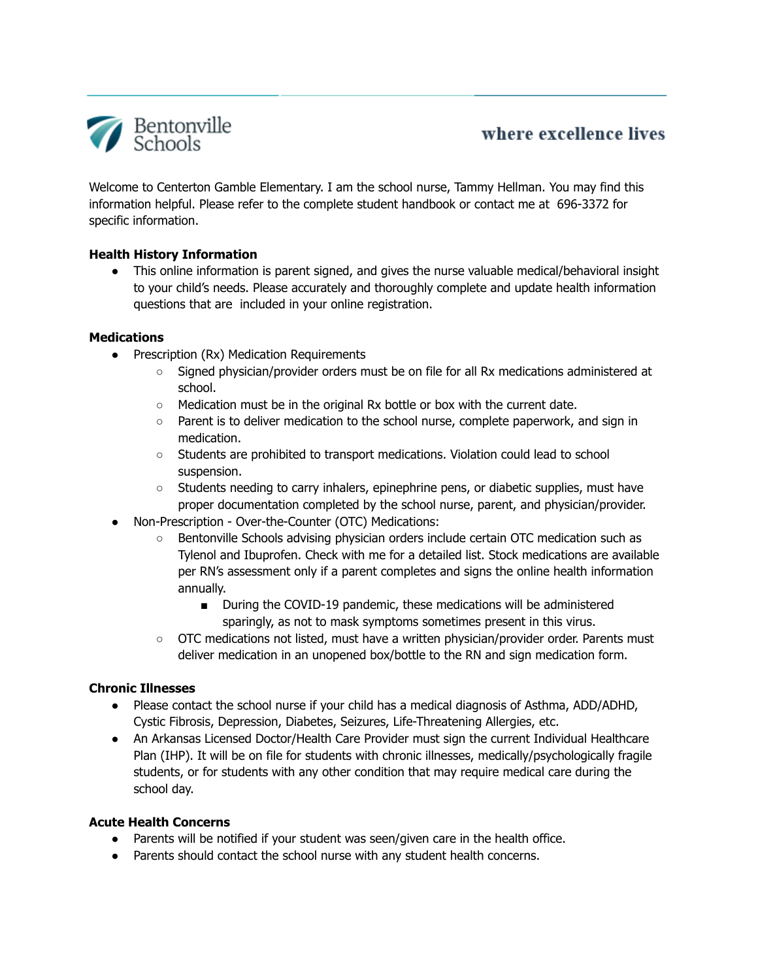

# where excellence lives

Welcome to Centerton Gamble Elementary. I am the school nurse, Tammy Hellman. You may find this information helpful. Please refer to the complete student handbook or contact me at 696-3372 for specific information.

## **Health History Information**

• This online information is parent signed, and gives the nurse valuable medical/behavioral insight to your child's needs. Please accurately and thoroughly complete and update health information questions that are included in your online registration.

## **Medications**

- Prescription (Rx) Medication Requirements
	- Signed physician/provider orders must be on file for all Rx medications administered at school.
	- $\circ$  Medication must be in the original Rx bottle or box with the current date.
	- Parent is to deliver medication to the school nurse, complete paperwork, and sign in medication.
	- Students are prohibited to transport medications. Violation could lead to school suspension.
	- Students needing to carry inhalers, epinephrine pens, or diabetic supplies, must have proper documentation completed by the school nurse, parent, and physician/provider.
- Non-Prescription Over-the-Counter (OTC) Medications:
	- Bentonville Schools advising physician orders include certain OTC medication such as Tylenol and Ibuprofen. Check with me for a detailed list. Stock medications are available per RN's assessment only if a parent completes and signs the online health information annually.
		- During the COVID-19 pandemic, these medications will be administered sparingly, as not to mask symptoms sometimes present in this virus.
	- OTC medications not listed, must have a written physician/provider order. Parents must deliver medication in an unopened box/bottle to the RN and sign medication form.

## **Chronic Illnesses**

- Please contact the school nurse if your child has a medical diagnosis of Asthma, ADD/ADHD, Cystic Fibrosis, Depression, Diabetes, Seizures, Life-Threatening Allergies, etc.
- An Arkansas Licensed Doctor/Health Care Provider must sign the current Individual Healthcare Plan (IHP). It will be on file for students with chronic illnesses, medically/psychologically fragile students, or for students with any other condition that may require medical care during the school day.

## **Acute Health Concerns**

- Parents will be notified if your student was seen/given care in the health office.
- Parents should contact the school nurse with any student health concerns.